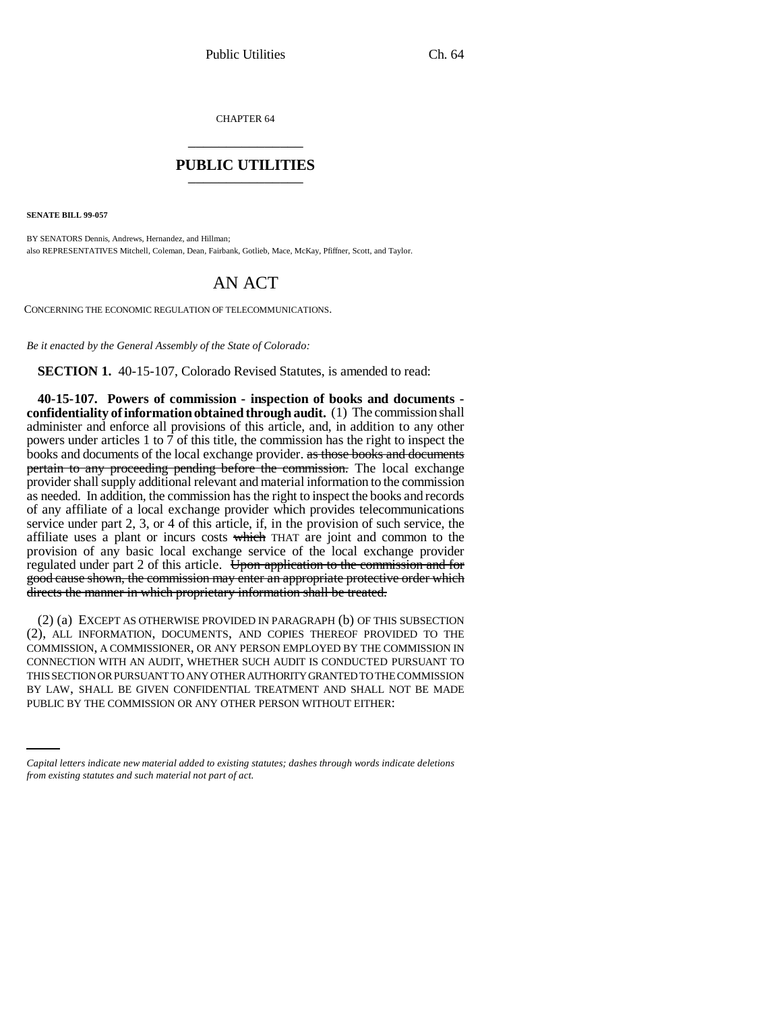CHAPTER 64 \_\_\_\_\_\_\_\_\_\_\_\_\_\_\_

### **PUBLIC UTILITIES** \_\_\_\_\_\_\_\_\_\_\_\_\_\_\_

**SENATE BILL 99-057** 

BY SENATORS Dennis, Andrews, Hernandez, and Hillman; also REPRESENTATIVES Mitchell, Coleman, Dean, Fairbank, Gotlieb, Mace, McKay, Pfiffner, Scott, and Taylor.

# AN ACT

CONCERNING THE ECONOMIC REGULATION OF TELECOMMUNICATIONS.

*Be it enacted by the General Assembly of the State of Colorado:*

**SECTION 1.** 40-15-107, Colorado Revised Statutes, is amended to read:

**40-15-107. Powers of commission - inspection of books and documents confidentiality of information obtained through audit.** (1) The commission shall administer and enforce all provisions of this article, and, in addition to any other powers under articles 1 to 7 of this title, the commission has the right to inspect the books and documents of the local exchange provider. as those books and documents pertain to any proceeding pending before the commission. The local exchange provider shall supply additional relevant and material information to the commission as needed. In addition, the commission has the right to inspect the books and records of any affiliate of a local exchange provider which provides telecommunications service under part 2, 3, or 4 of this article, if, in the provision of such service, the affiliate uses a plant or incurs costs which THAT are joint and common to the provision of any basic local exchange service of the local exchange provider regulated under part 2 of this article. Upon application to the commission and for good cause shown, the commission may enter an appropriate protective order which directs the manner in which proprietary information shall be treated.

BY LAW, SHALL BE GIVEN CONFIDENTIAL TREATMENT AND SHALL NOT BE MADE (2) (a) EXCEPT AS OTHERWISE PROVIDED IN PARAGRAPH (b) OF THIS SUBSECTION (2), ALL INFORMATION, DOCUMENTS, AND COPIES THEREOF PROVIDED TO THE COMMISSION, A COMMISSIONER, OR ANY PERSON EMPLOYED BY THE COMMISSION IN CONNECTION WITH AN AUDIT, WHETHER SUCH AUDIT IS CONDUCTED PURSUANT TO THIS SECTION OR PURSUANT TO ANY OTHER AUTHORITY GRANTED TO THE COMMISSION PUBLIC BY THE COMMISSION OR ANY OTHER PERSON WITHOUT EITHER:

*Capital letters indicate new material added to existing statutes; dashes through words indicate deletions from existing statutes and such material not part of act.*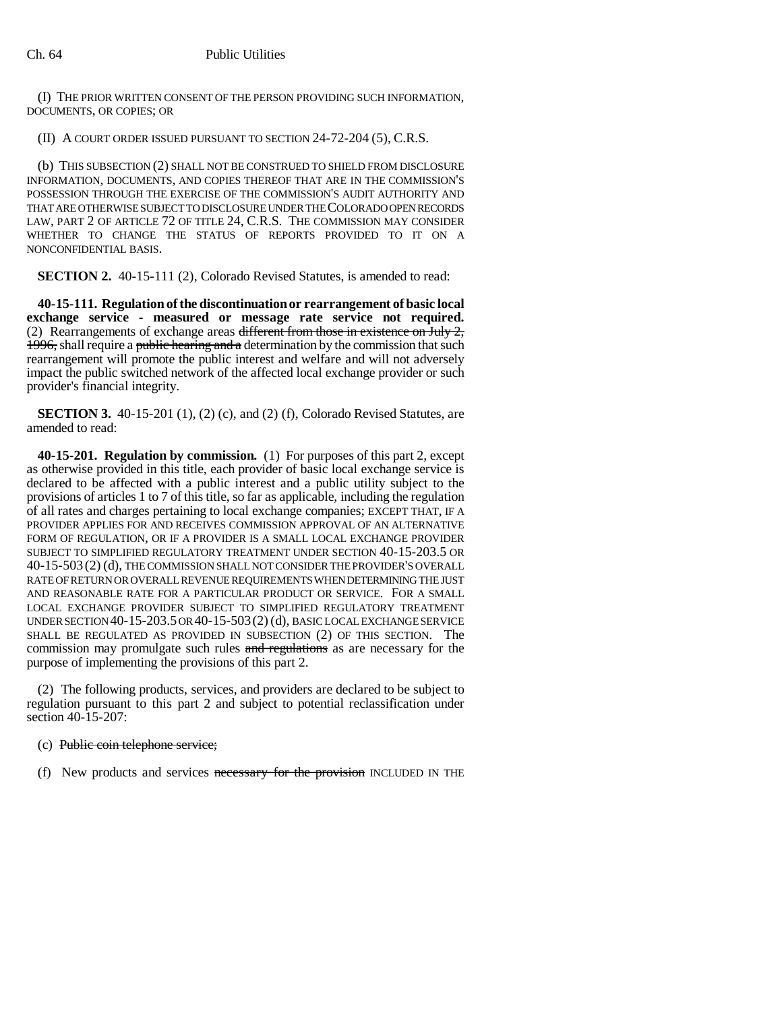(I) THE PRIOR WRITTEN CONSENT OF THE PERSON PROVIDING SUCH INFORMATION, DOCUMENTS, OR COPIES; OR

(II) A COURT ORDER ISSUED PURSUANT TO SECTION 24-72-204 (5), C.R.S.

(b) THIS SUBSECTION (2) SHALL NOT BE CONSTRUED TO SHIELD FROM DISCLOSURE INFORMATION, DOCUMENTS, AND COPIES THEREOF THAT ARE IN THE COMMISSION'S POSSESSION THROUGH THE EXERCISE OF THE COMMISSION'S AUDIT AUTHORITY AND THAT ARE OTHERWISE SUBJECT TO DISCLOSURE UNDER THE COLORADO OPEN RECORDS LAW, PART 2 OF ARTICLE 72 OF TITLE 24, C.R.S. THE COMMISSION MAY CONSIDER WHETHER TO CHANGE THE STATUS OF REPORTS PROVIDED TO IT ON A NONCONFIDENTIAL BASIS.

**SECTION 2.** 40-15-111 (2), Colorado Revised Statutes, is amended to read:

**40-15-111. Regulation of the discontinuation or rearrangement of basic local exchange service - measured or message rate service not required.** (2) Rearrangements of exchange areas different from those in existence on July  $2$ , 1996, shall require a public hearing and a determination by the commission that such rearrangement will promote the public interest and welfare and will not adversely impact the public switched network of the affected local exchange provider or such provider's financial integrity.

**SECTION 3.** 40-15-201 (1), (2) (c), and (2) (f), Colorado Revised Statutes, are amended to read:

**40-15-201. Regulation by commission.** (1) For purposes of this part 2, except as otherwise provided in this title, each provider of basic local exchange service is declared to be affected with a public interest and a public utility subject to the provisions of articles 1 to 7 of this title, so far as applicable, including the regulation of all rates and charges pertaining to local exchange companies; EXCEPT THAT, IF A PROVIDER APPLIES FOR AND RECEIVES COMMISSION APPROVAL OF AN ALTERNATIVE FORM OF REGULATION, OR IF A PROVIDER IS A SMALL LOCAL EXCHANGE PROVIDER SUBJECT TO SIMPLIFIED REGULATORY TREATMENT UNDER SECTION 40-15-203.5 OR 40-15-503 (2) (d), THE COMMISSION SHALL NOT CONSIDER THE PROVIDER'S OVERALL RATE OF RETURN OR OVERALL REVENUE REQUIREMENTS WHEN DETERMINING THE JUST AND REASONABLE RATE FOR A PARTICULAR PRODUCT OR SERVICE. FOR A SMALL LOCAL EXCHANGE PROVIDER SUBJECT TO SIMPLIFIED REGULATORY TREATMENT UNDER SECTION 40-15-203.5 OR 40-15-503(2) (d), BASIC LOCAL EXCHANGE SERVICE SHALL BE REGULATED AS PROVIDED IN SUBSECTION (2) OF THIS SECTION. The commission may promulgate such rules and regulations as are necessary for the purpose of implementing the provisions of this part 2.

(2) The following products, services, and providers are declared to be subject to regulation pursuant to this part 2 and subject to potential reclassification under section 40-15-207:

## (c) Public coin telephone service;

(f) New products and services necessary for the provision INCLUDED IN THE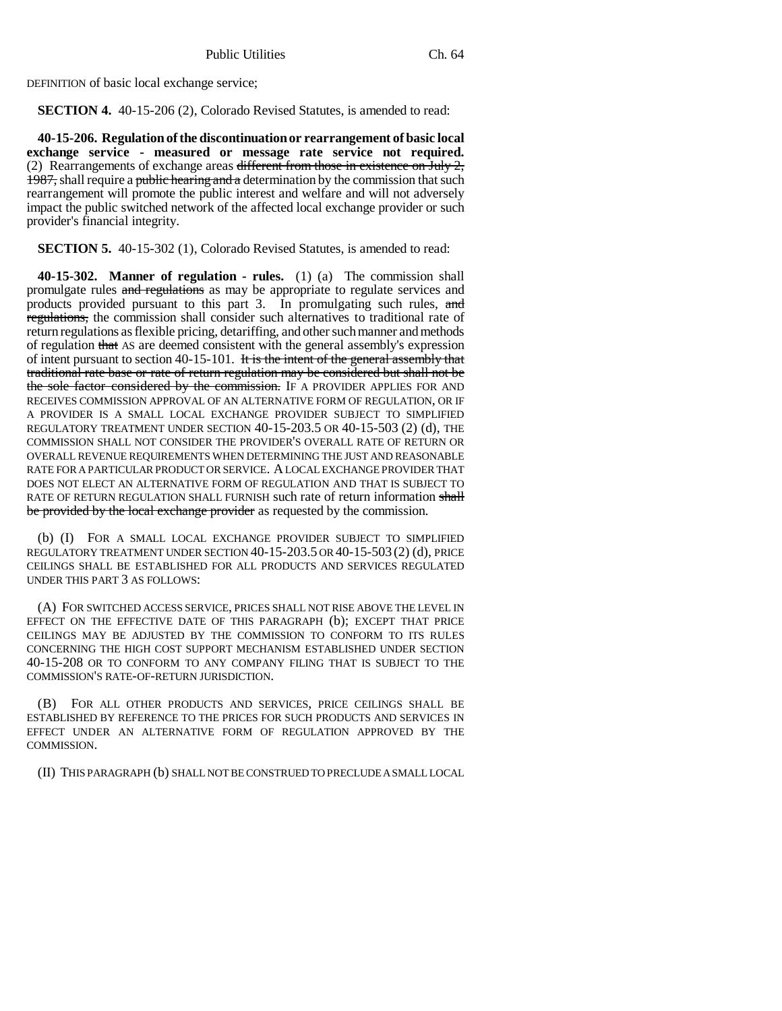DEFINITION of basic local exchange service;

**SECTION 4.** 40-15-206 (2), Colorado Revised Statutes, is amended to read:

**40-15-206. Regulation of the discontinuation or rearrangement of basic local exchange service - measured or message rate service not required.** (2) Rearrangements of exchange areas different from those in existence on July  $2$ , 1987, shall require a public hearing and a determination by the commission that such rearrangement will promote the public interest and welfare and will not adversely impact the public switched network of the affected local exchange provider or such provider's financial integrity.

**SECTION 5.** 40-15-302 (1), Colorado Revised Statutes, is amended to read:

**40-15-302. Manner of regulation - rules.** (1) (a) The commission shall promulgate rules and regulations as may be appropriate to regulate services and products provided pursuant to this part 3. In promulgating such rules, and regulations, the commission shall consider such alternatives to traditional rate of return regulations as flexible pricing, detariffing, and other such manner and methods of regulation that AS are deemed consistent with the general assembly's expression of intent pursuant to section 40-15-101. It is the intent of the general assembly that traditional rate base or rate of return regulation may be considered but shall not be the sole factor considered by the commission. IF A PROVIDER APPLIES FOR AND RECEIVES COMMISSION APPROVAL OF AN ALTERNATIVE FORM OF REGULATION, OR IF A PROVIDER IS A SMALL LOCAL EXCHANGE PROVIDER SUBJECT TO SIMPLIFIED REGULATORY TREATMENT UNDER SECTION 40-15-203.5 OR 40-15-503 (2) (d), THE COMMISSION SHALL NOT CONSIDER THE PROVIDER'S OVERALL RATE OF RETURN OR OVERALL REVENUE REQUIREMENTS WHEN DETERMINING THE JUST AND REASONABLE RATE FOR A PARTICULAR PRODUCT OR SERVICE. A LOCAL EXCHANGE PROVIDER THAT DOES NOT ELECT AN ALTERNATIVE FORM OF REGULATION AND THAT IS SUBJECT TO RATE OF RETURN REGULATION SHALL FURNISH such rate of return information shall be provided by the local exchange provider as requested by the commission.

(b) (I) FOR A SMALL LOCAL EXCHANGE PROVIDER SUBJECT TO SIMPLIFIED REGULATORY TREATMENT UNDER SECTION 40-15-203.5 OR 40-15-503 (2) (d), PRICE CEILINGS SHALL BE ESTABLISHED FOR ALL PRODUCTS AND SERVICES REGULATED UNDER THIS PART 3 AS FOLLOWS:

(A) FOR SWITCHED ACCESS SERVICE, PRICES SHALL NOT RISE ABOVE THE LEVEL IN EFFECT ON THE EFFECTIVE DATE OF THIS PARAGRAPH (b); EXCEPT THAT PRICE CEILINGS MAY BE ADJUSTED BY THE COMMISSION TO CONFORM TO ITS RULES CONCERNING THE HIGH COST SUPPORT MECHANISM ESTABLISHED UNDER SECTION 40-15-208 OR TO CONFORM TO ANY COMPANY FILING THAT IS SUBJECT TO THE COMMISSION'S RATE-OF-RETURN JURISDICTION.

(B) FOR ALL OTHER PRODUCTS AND SERVICES, PRICE CEILINGS SHALL BE ESTABLISHED BY REFERENCE TO THE PRICES FOR SUCH PRODUCTS AND SERVICES IN EFFECT UNDER AN ALTERNATIVE FORM OF REGULATION APPROVED BY THE COMMISSION.

(II) THIS PARAGRAPH (b) SHALL NOT BE CONSTRUED TO PRECLUDE A SMALL LOCAL